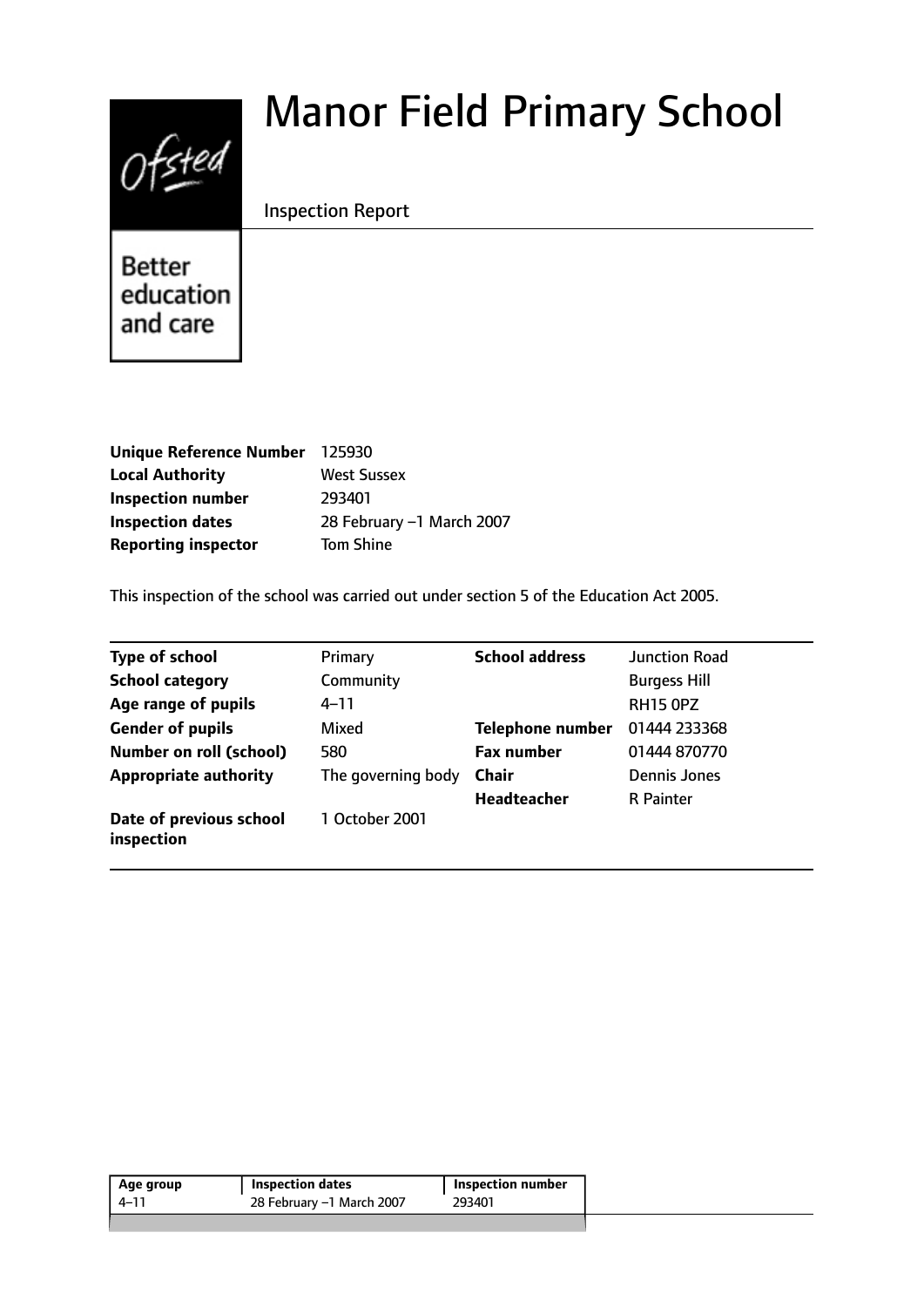# Ofsted

# Manor Field Primary School

# Inspection Report

**Better** education and care

| Unique Reference Number 125930 |                           |
|--------------------------------|---------------------------|
| <b>Local Authority</b>         | <b>West Sussex</b>        |
| <b>Inspection number</b>       | 293401                    |
| <b>Inspection dates</b>        | 28 February -1 March 2007 |
| <b>Reporting inspector</b>     | <b>Tom Shine</b>          |

This inspection of the school was carried out under section 5 of the Education Act 2005.

| <b>Type of school</b>                 | Primary            | <b>School address</b>   | <b>Junction Road</b> |
|---------------------------------------|--------------------|-------------------------|----------------------|
| <b>School category</b>                | Community          |                         | <b>Burgess Hill</b>  |
| Age range of pupils                   | $4 - 11$           |                         | <b>RH15 OPZ</b>      |
| <b>Gender of pupils</b>               | Mixed              | <b>Telephone number</b> | 01444 233368         |
| <b>Number on roll (school)</b>        | 580                | <b>Fax number</b>       | 01444 870770         |
| <b>Appropriate authority</b>          | The governing body | <b>Chair</b>            | Dennis Jones         |
|                                       |                    | <b>Headteacher</b>      | <b>R</b> Painter     |
| Date of previous school<br>inspection | 1 October 2001     |                         |                      |

| Age group | Inspection dates          | Inspection number |
|-----------|---------------------------|-------------------|
| $4 - 1$   | 28 February -1 March 2007 | 293401            |
|           |                           |                   |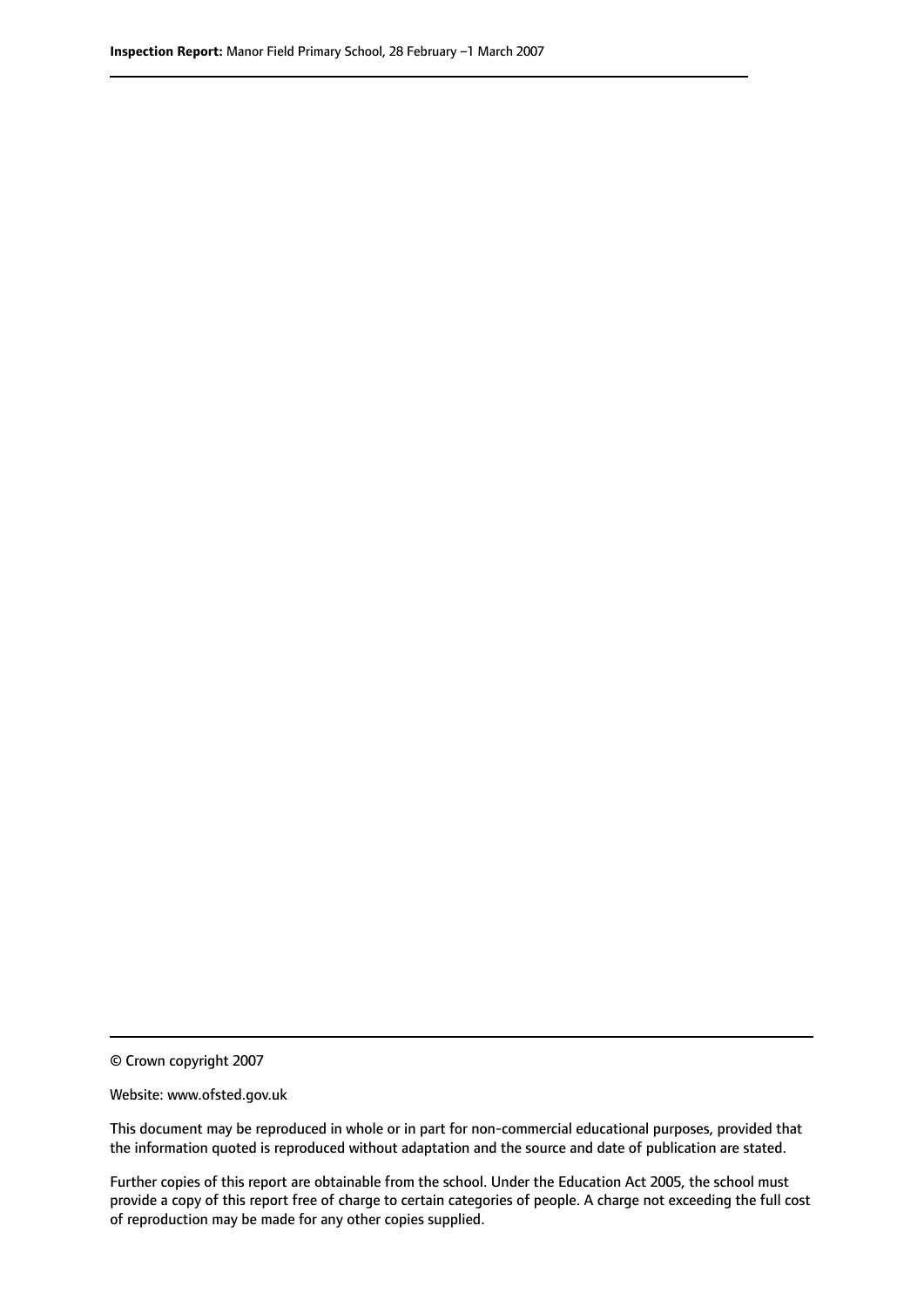© Crown copyright 2007

Website: www.ofsted.gov.uk

This document may be reproduced in whole or in part for non-commercial educational purposes, provided that the information quoted is reproduced without adaptation and the source and date of publication are stated.

Further copies of this report are obtainable from the school. Under the Education Act 2005, the school must provide a copy of this report free of charge to certain categories of people. A charge not exceeding the full cost of reproduction may be made for any other copies supplied.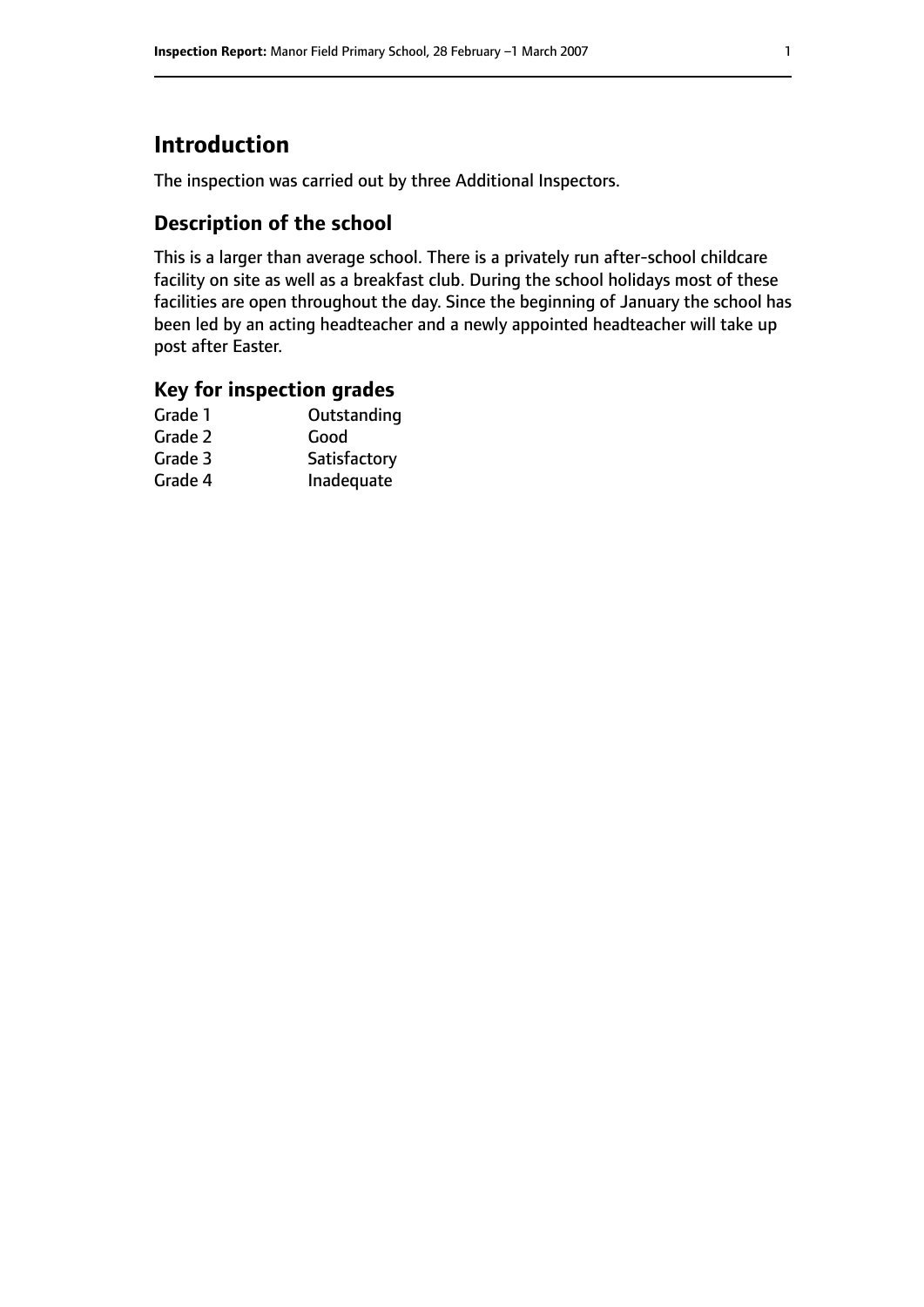# **Introduction**

The inspection was carried out by three Additional Inspectors.

# **Description of the school**

This is a larger than average school. There is a privately run after-school childcare facility on site as well as a breakfast club. During the school holidays most of these facilities are open throughout the day. Since the beginning of January the school has been led by an acting headteacher and a newly appointed headteacher will take up post after Easter.

## **Key for inspection grades**

| Good         |
|--------------|
|              |
| Satisfactory |
| Inadequate   |
|              |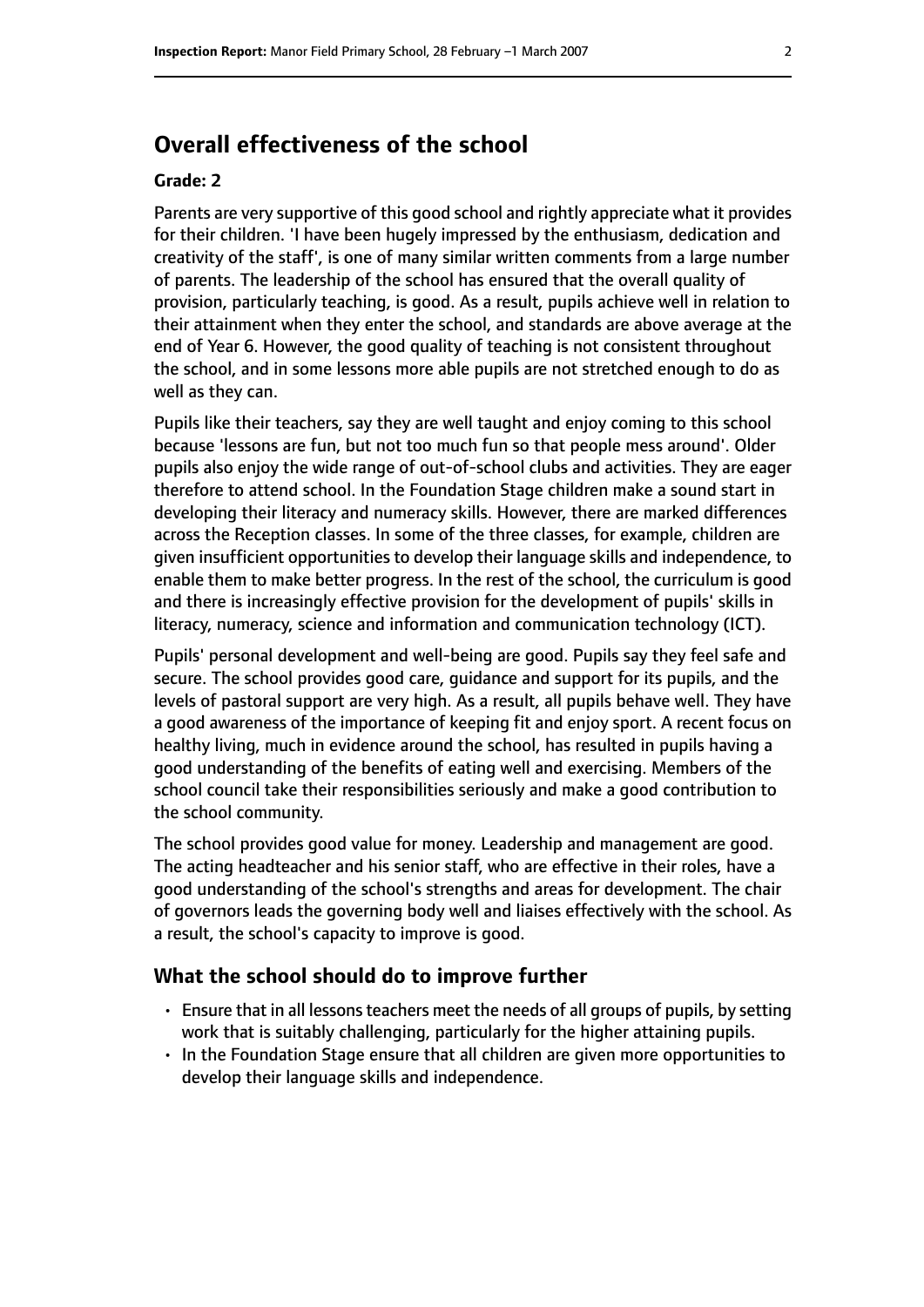# **Overall effectiveness of the school**

#### **Grade: 2**

Parents are very supportive of this good school and rightly appreciate what it provides for their children. 'I have been hugely impressed by the enthusiasm, dedication and creativity of the staff', is one of many similar written comments from a large number of parents. The leadership of the school has ensured that the overall quality of provision, particularly teaching, is good. As a result, pupils achieve well in relation to their attainment when they enter the school, and standards are above average at the end of Year 6. However, the good quality of teaching is not consistent throughout the school, and in some lessons more able pupils are not stretched enough to do as well as they can.

Pupils like their teachers, say they are well taught and enjoy coming to this school because 'lessons are fun, but not too much fun so that people mess around'. Older pupils also enjoy the wide range of out-of-school clubs and activities. They are eager therefore to attend school. In the Foundation Stage children make a sound start in developing their literacy and numeracy skills. However, there are marked differences across the Reception classes. In some of the three classes, for example, children are given insufficient opportunities to develop their language skills and independence, to enable them to make better progress. In the rest of the school, the curriculum is good and there is increasingly effective provision for the development of pupils' skills in literacy, numeracy, science and information and communication technology (ICT).

Pupils' personal development and well-being are good. Pupils say they feel safe and secure. The school provides good care, guidance and support for its pupils, and the levels of pastoral support are very high. As a result, all pupils behave well. They have a good awareness of the importance of keeping fit and enjoy sport. A recent focus on healthy living, much in evidence around the school, has resulted in pupils having a good understanding of the benefits of eating well and exercising. Members of the school council take their responsibilities seriously and make a good contribution to the school community.

The school provides good value for money. Leadership and management are good. The acting headteacher and his senior staff, who are effective in their roles, have a good understanding of the school's strengths and areas for development. The chair of governors leads the governing body well and liaises effectively with the school. As a result, the school's capacity to improve is good.

#### **What the school should do to improve further**

- Ensure that in all lessons teachers meet the needs of all groups of pupils, by setting work that is suitably challenging, particularly for the higher attaining pupils.
- In the Foundation Stage ensure that all children are given more opportunities to develop their language skills and independence.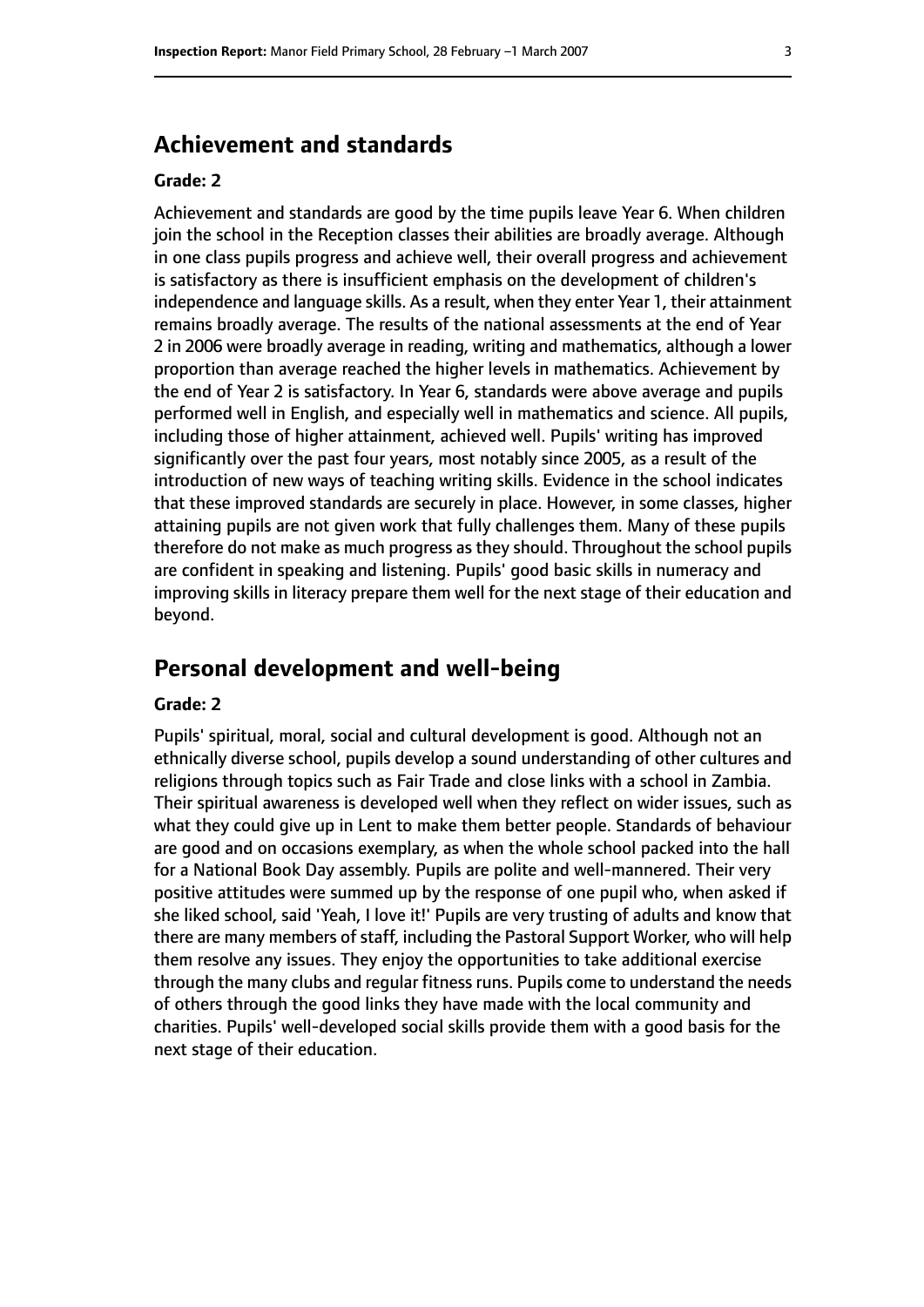# **Achievement and standards**

#### **Grade: 2**

Achievement and standards are good by the time pupils leave Year 6. When children join the school in the Reception classes their abilities are broadly average. Although in one class pupils progress and achieve well, their overall progress and achievement is satisfactory as there is insufficient emphasis on the development of children's independence and language skills. As a result, when they enter Year 1, their attainment remains broadly average. The results of the national assessments at the end of Year 2 in 2006 were broadly average in reading, writing and mathematics, although a lower proportion than average reached the higher levels in mathematics. Achievement by the end of Year 2 is satisfactory. In Year 6, standards were above average and pupils performed well in English, and especially well in mathematics and science. All pupils, including those of higher attainment, achieved well. Pupils' writing has improved significantly over the past four years, most notably since 2005, as a result of the introduction of new ways of teaching writing skills. Evidence in the school indicates that these improved standards are securely in place. However, in some classes, higher attaining pupils are not given work that fully challenges them. Many of these pupils therefore do not make as much progress as they should. Throughout the school pupils are confident in speaking and listening. Pupils' good basic skills in numeracy and improving skills in literacy prepare them well for the next stage of their education and beyond.

# **Personal development and well-being**

#### **Grade: 2**

Pupils' spiritual, moral, social and cultural development is good. Although not an ethnically diverse school, pupils develop a sound understanding of other cultures and religions through topics such as Fair Trade and close links with a school in Zambia. Their spiritual awareness is developed well when they reflect on wider issues, such as what they could give up in Lent to make them better people. Standards of behaviour are good and on occasions exemplary, as when the whole school packed into the hall for a National Book Day assembly. Pupils are polite and well-mannered. Their very positive attitudes were summed up by the response of one pupil who, when asked if she liked school, said 'Yeah, I love it!' Pupils are very trusting of adults and know that there are many members of staff, including the Pastoral Support Worker, who will help them resolve any issues. They enjoy the opportunities to take additional exercise through the many clubs and regular fitness runs. Pupils come to understand the needs of others through the good links they have made with the local community and charities. Pupils' well-developed social skills provide them with a good basis for the next stage of their education.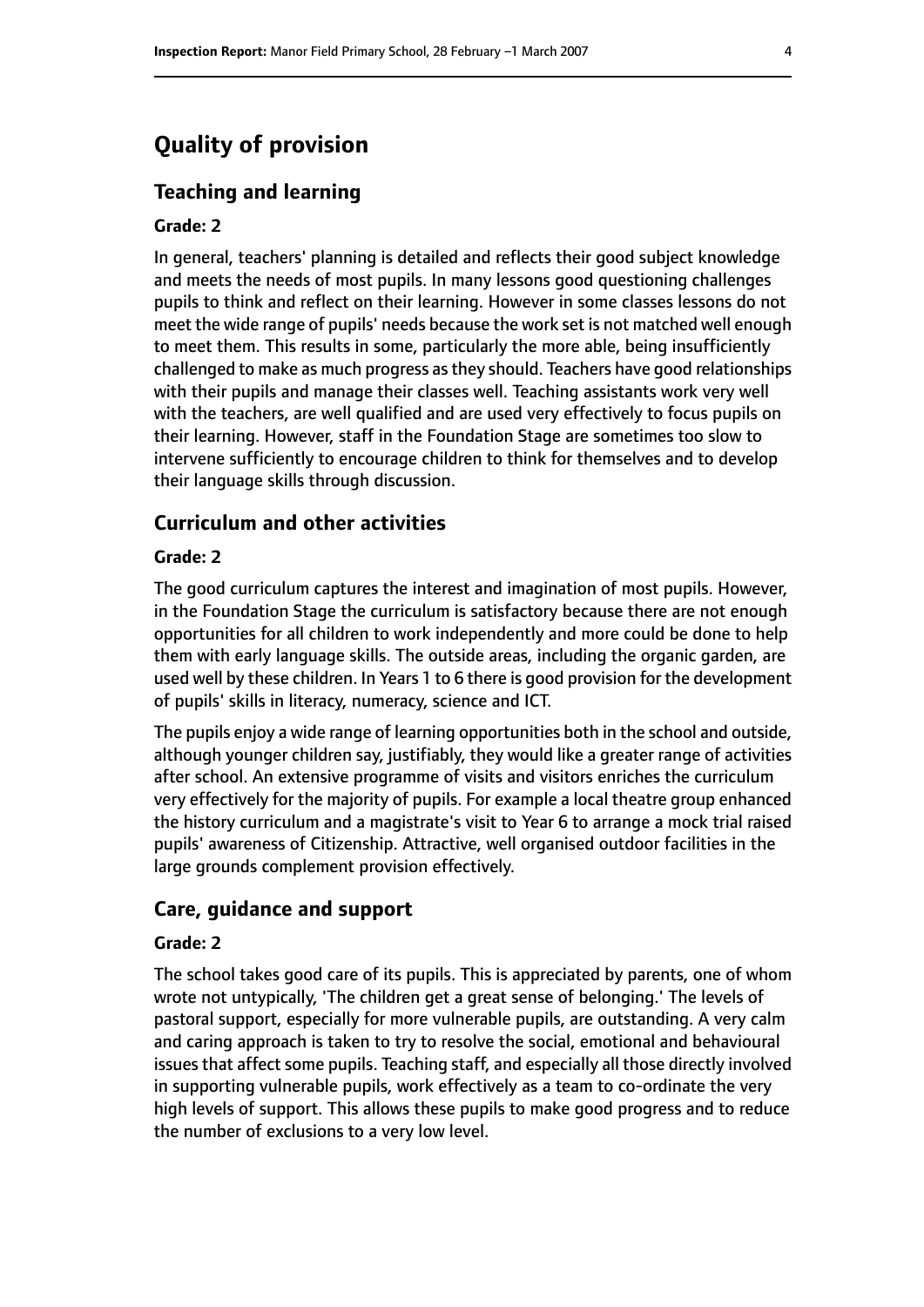# **Quality of provision**

#### **Teaching and learning**

#### **Grade: 2**

In general, teachers' planning is detailed and reflects their good subject knowledge and meets the needs of most pupils. In many lessons good questioning challenges pupils to think and reflect on their learning. However in some classes lessons do not meet the wide range of pupils' needs because the work set is not matched well enough to meet them. This results in some, particularly the more able, being insufficiently challenged to make as much progress asthey should. Teachers have good relationships with their pupils and manage their classes well. Teaching assistants work very well with the teachers, are well qualified and are used very effectively to focus pupils on their learning. However, staff in the Foundation Stage are sometimes too slow to intervene sufficiently to encourage children to think for themselves and to develop their language skills through discussion.

#### **Curriculum and other activities**

#### **Grade: 2**

The good curriculum captures the interest and imagination of most pupils. However, in the Foundation Stage the curriculum is satisfactory because there are not enough opportunities for all children to work independently and more could be done to help them with early language skills. The outside areas, including the organic garden, are used well by these children. In Years 1 to 6 there is good provision for the development of pupils' skills in literacy, numeracy, science and ICT.

The pupils enjoy a wide range of learning opportunities both in the school and outside, although younger children say, justifiably, they would like a greater range of activities after school. An extensive programme of visits and visitors enriches the curriculum very effectively for the majority of pupils. For example a local theatre group enhanced the history curriculum and a magistrate's visit to Year 6 to arrange a mock trial raised pupils' awareness of Citizenship. Attractive, well organised outdoor facilities in the large grounds complement provision effectively.

#### **Care, guidance and support**

#### **Grade: 2**

The school takes good care of its pupils. This is appreciated by parents, one of whom wrote not untypically, 'The children get a great sense of belonging.' The levels of pastoral support, especially for more vulnerable pupils, are outstanding. A very calm and caring approach is taken to try to resolve the social, emotional and behavioural issues that affect some pupils. Teaching staff, and especially all those directly involved in supporting vulnerable pupils, work effectively as a team to co-ordinate the very high levels of support. This allows these pupils to make good progress and to reduce the number of exclusions to a very low level.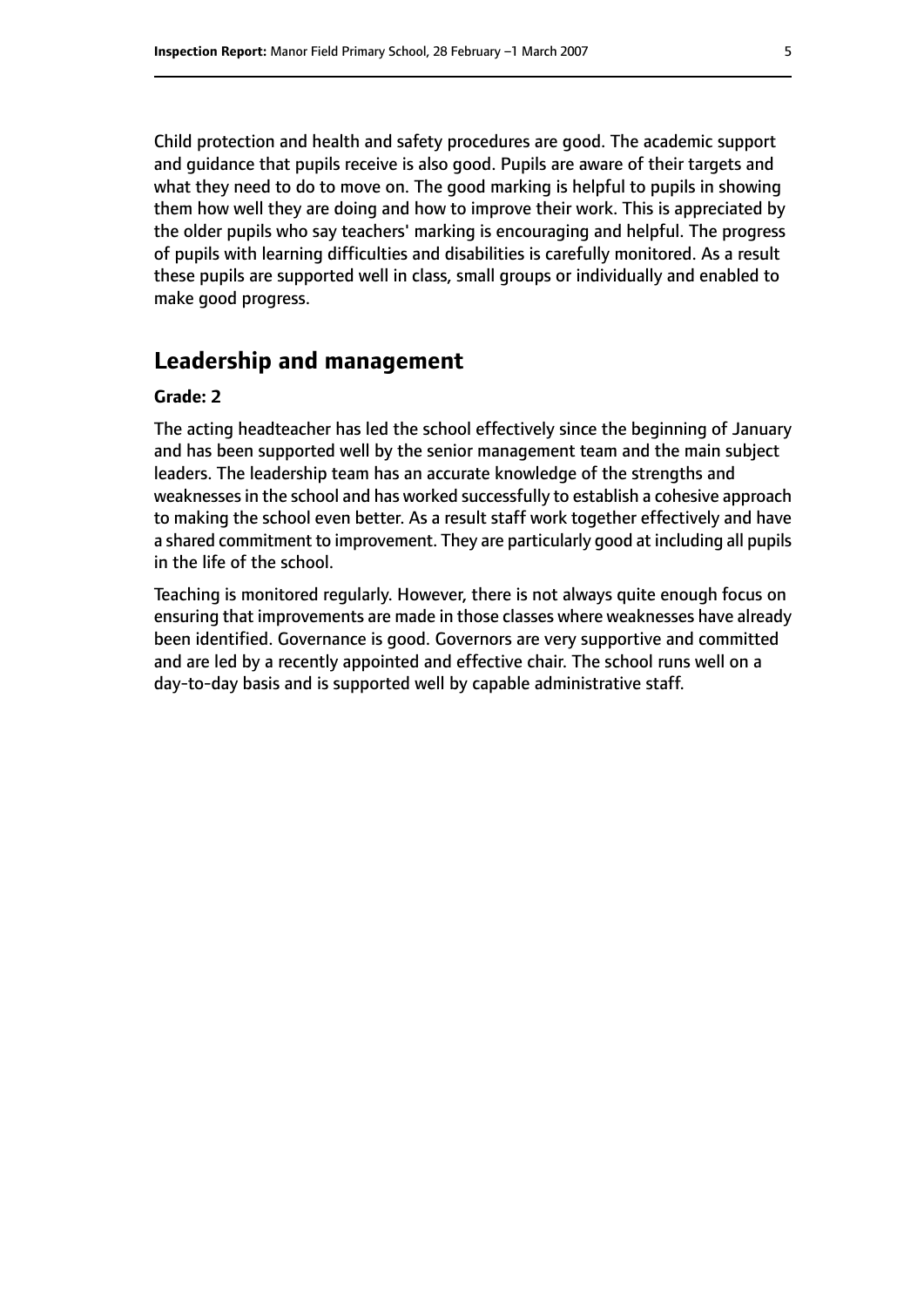Child protection and health and safety procedures are good. The academic support and guidance that pupils receive is also good. Pupils are aware of their targets and what they need to do to move on. The good marking is helpful to pupils in showing them how well they are doing and how to improve their work. This is appreciated by the older pupils who say teachers' marking is encouraging and helpful. The progress of pupils with learning difficulties and disabilities is carefully monitored. As a result these pupils are supported well in class, small groups or individually and enabled to make good progress.

## **Leadership and management**

#### **Grade: 2**

The acting headteacher has led the school effectively since the beginning of January and has been supported well by the senior management team and the main subject leaders. The leadership team has an accurate knowledge of the strengths and weaknesses in the school and has worked successfully to establish a cohesive approach to making the school even better. As a result staff work together effectively and have a shared commitment to improvement. They are particularly good at including all pupils in the life of the school.

Teaching is monitored regularly. However, there is not always quite enough focus on ensuring that improvements are made in those classes where weaknesses have already been identified. Governance is good. Governors are very supportive and committed and are led by a recently appointed and effective chair. The school runs well on a day-to-day basis and is supported well by capable administrative staff.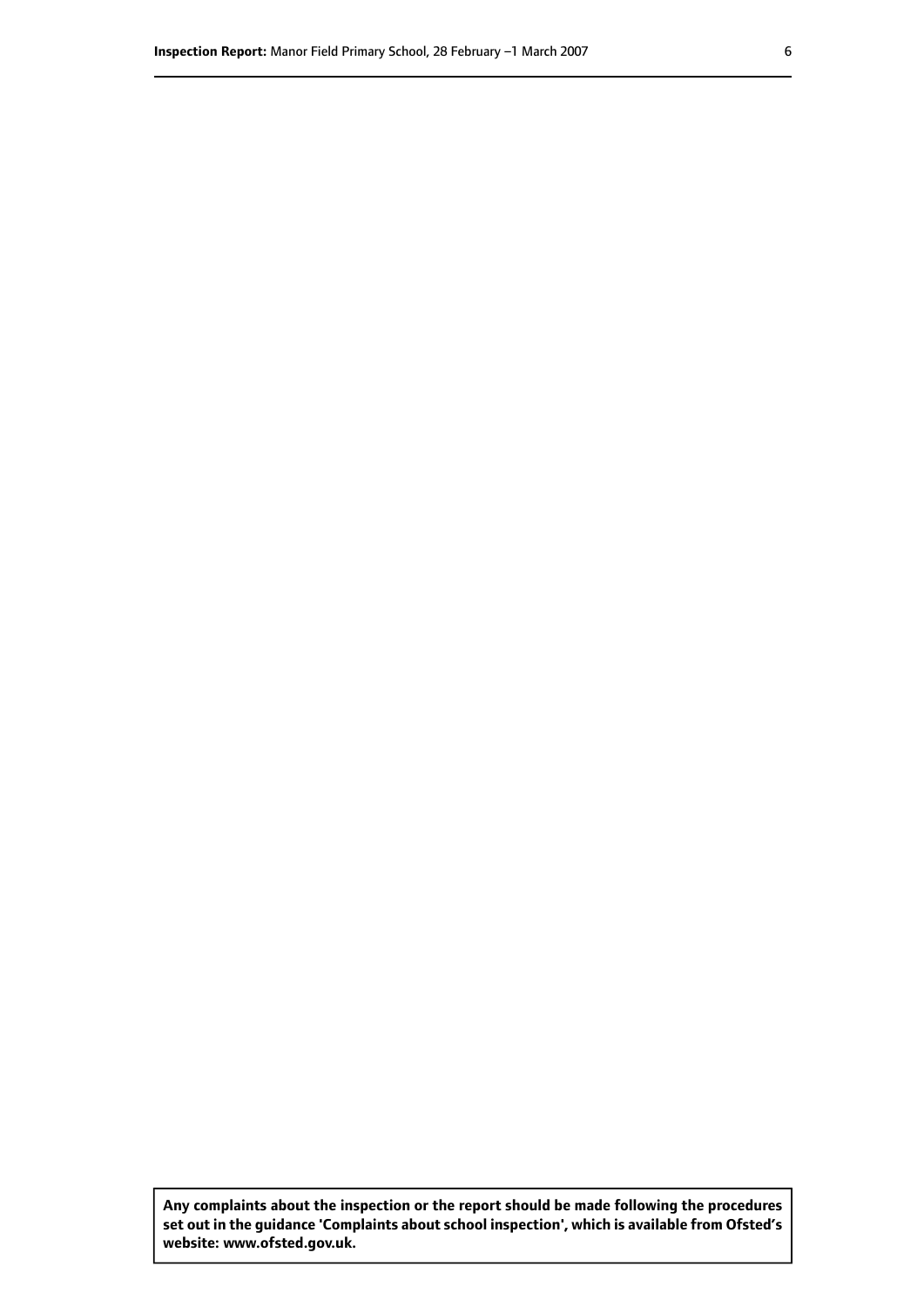**Any complaints about the inspection or the report should be made following the procedures set out inthe guidance 'Complaints about school inspection', whichis available from Ofsted's website: www.ofsted.gov.uk.**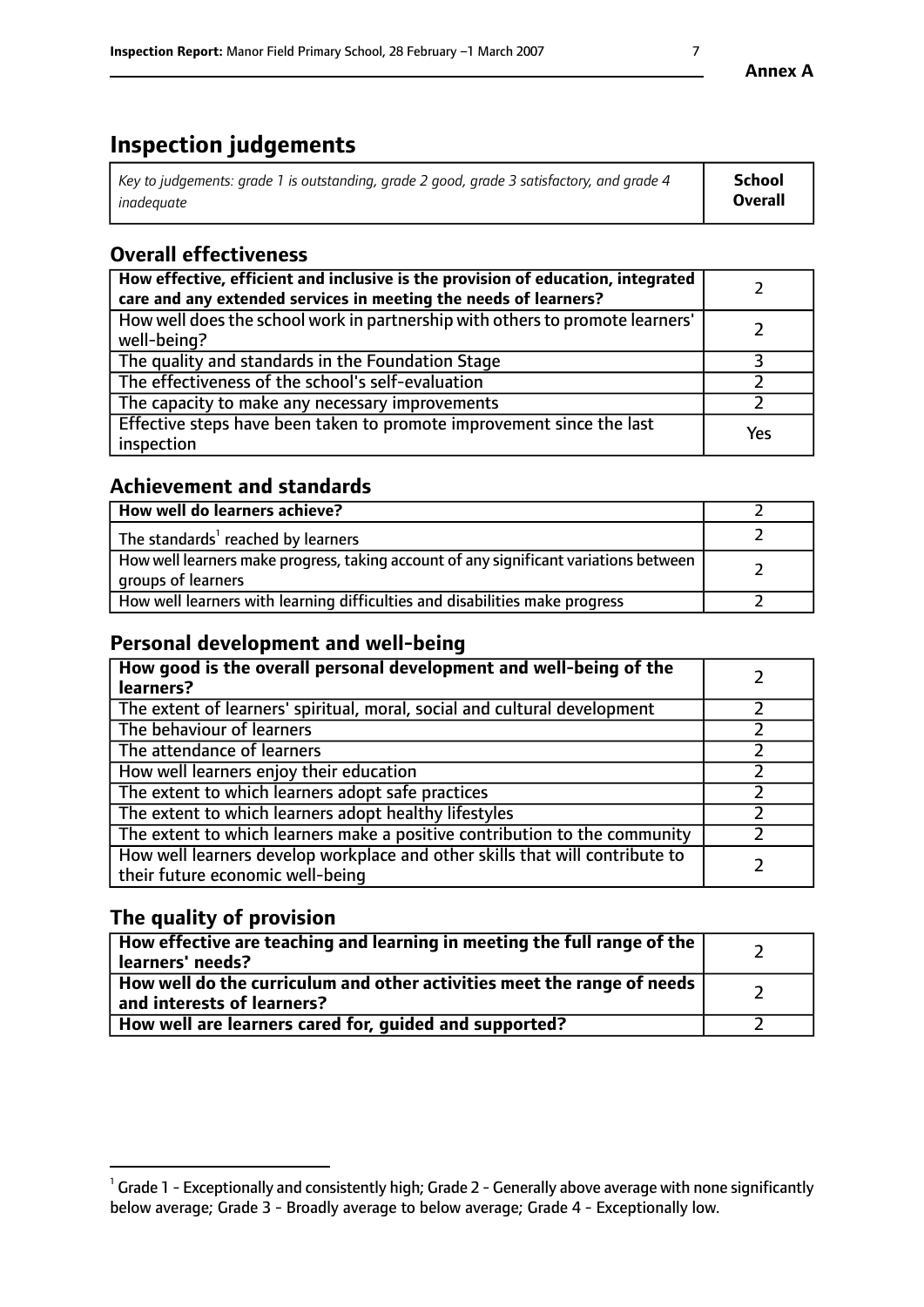# **Inspection judgements**

| Key to judgements: grade 1 is outstanding, grade 2 good, grade 3 satisfactory, and grade 4 | School  |
|--------------------------------------------------------------------------------------------|---------|
| inadeauate                                                                                 | Overall |

# **Overall effectiveness**

| How effective, efficient and inclusive is the provision of education, integrated<br>care and any extended services in meeting the needs of learners? |     |
|------------------------------------------------------------------------------------------------------------------------------------------------------|-----|
| How well does the school work in partnership with others to promote learners'<br>well-being?                                                         |     |
| The quality and standards in the Foundation Stage                                                                                                    |     |
| The effectiveness of the school's self-evaluation                                                                                                    |     |
| The capacity to make any necessary improvements                                                                                                      |     |
| Effective steps have been taken to promote improvement since the last<br>inspection                                                                  | Yes |

# **Achievement and standards**

| How well do learners achieve?                                                                               |  |
|-------------------------------------------------------------------------------------------------------------|--|
| The standards <sup>1</sup> reached by learners                                                              |  |
| How well learners make progress, taking account of any significant variations between<br>groups of learners |  |
| How well learners with learning difficulties and disabilities make progress                                 |  |

# **Personal development and well-being**

| How good is the overall personal development and well-being of the<br>learners?                                  |  |
|------------------------------------------------------------------------------------------------------------------|--|
| The extent of learners' spiritual, moral, social and cultural development                                        |  |
| The behaviour of learners                                                                                        |  |
| The attendance of learners                                                                                       |  |
| How well learners enjoy their education                                                                          |  |
| The extent to which learners adopt safe practices                                                                |  |
| The extent to which learners adopt healthy lifestyles                                                            |  |
| The extent to which learners make a positive contribution to the community                                       |  |
| How well learners develop workplace and other skills that will contribute to<br>their future economic well-being |  |

# **The quality of provision**

| How effective are teaching and learning in meeting the full range of the<br>  learners' needs?                      |  |
|---------------------------------------------------------------------------------------------------------------------|--|
| $\mid$ How well do the curriculum and other activities meet the range of needs<br>$\mid$ and interests of learners? |  |
| How well are learners cared for, guided and supported?                                                              |  |

 $^1$  Grade 1 - Exceptionally and consistently high; Grade 2 - Generally above average with none significantly below average; Grade 3 - Broadly average to below average; Grade 4 - Exceptionally low.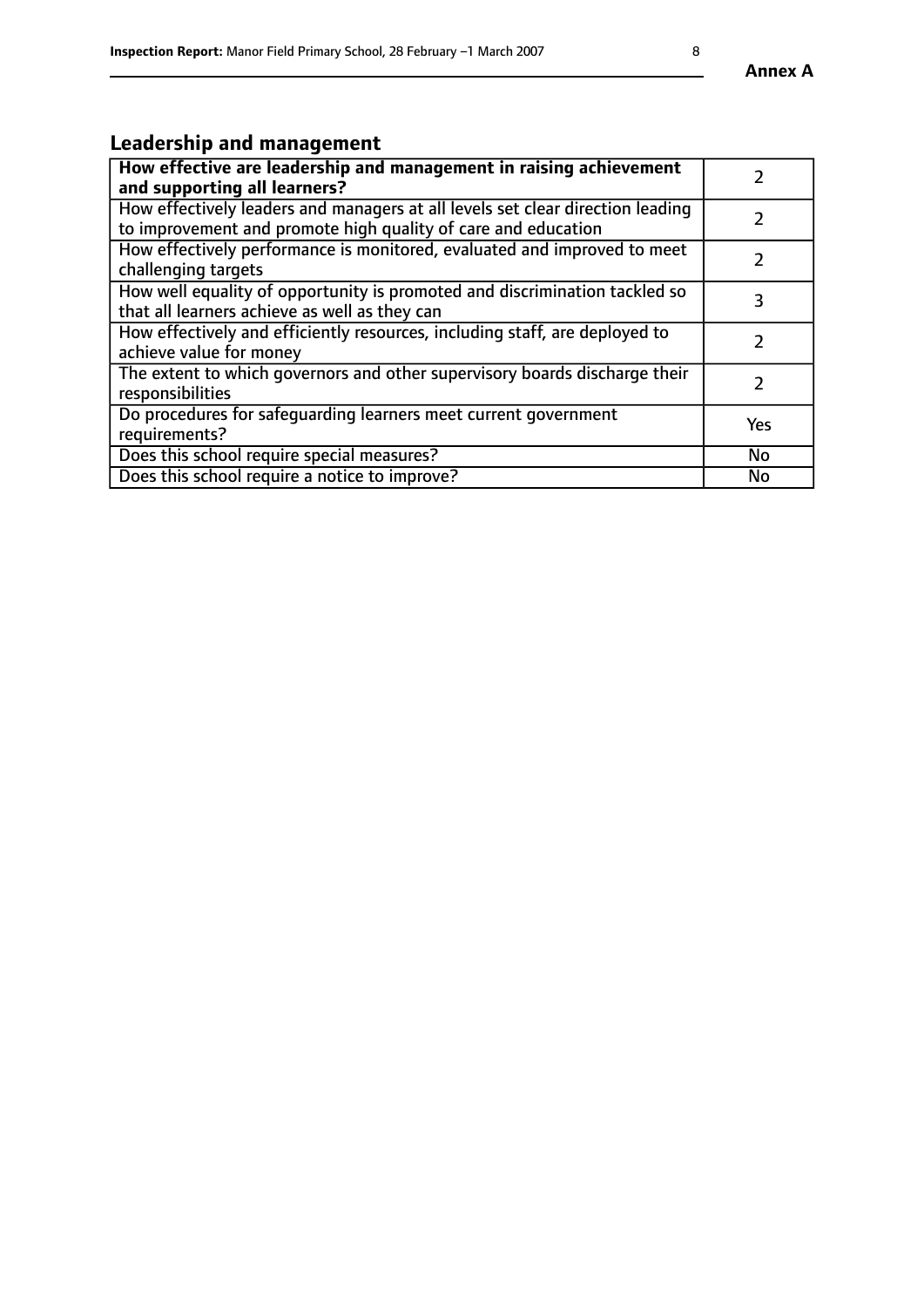# **Leadership and management**

| How effective are leadership and management in raising achievement<br>and supporting all learners?                                              |               |
|-------------------------------------------------------------------------------------------------------------------------------------------------|---------------|
| How effectively leaders and managers at all levels set clear direction leading<br>to improvement and promote high quality of care and education |               |
| How effectively performance is monitored, evaluated and improved to meet<br>challenging targets                                                 | $\mathcal{L}$ |
| How well equality of opportunity is promoted and discrimination tackled so<br>that all learners achieve as well as they can                     | 3             |
| How effectively and efficiently resources, including staff, are deployed to<br>achieve value for money                                          | $\mathcal{P}$ |
| The extent to which governors and other supervisory boards discharge their<br>responsibilities                                                  |               |
| Do procedures for safequarding learners meet current government<br>requirements?                                                                | Yes           |
| Does this school require special measures?                                                                                                      | No            |
| Does this school require a notice to improve?                                                                                                   | <b>No</b>     |